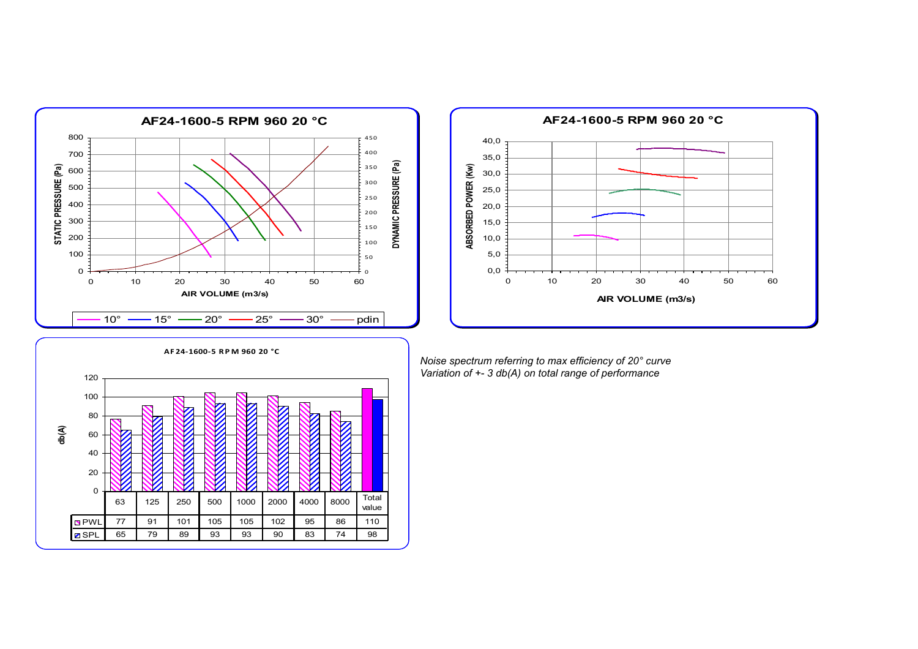



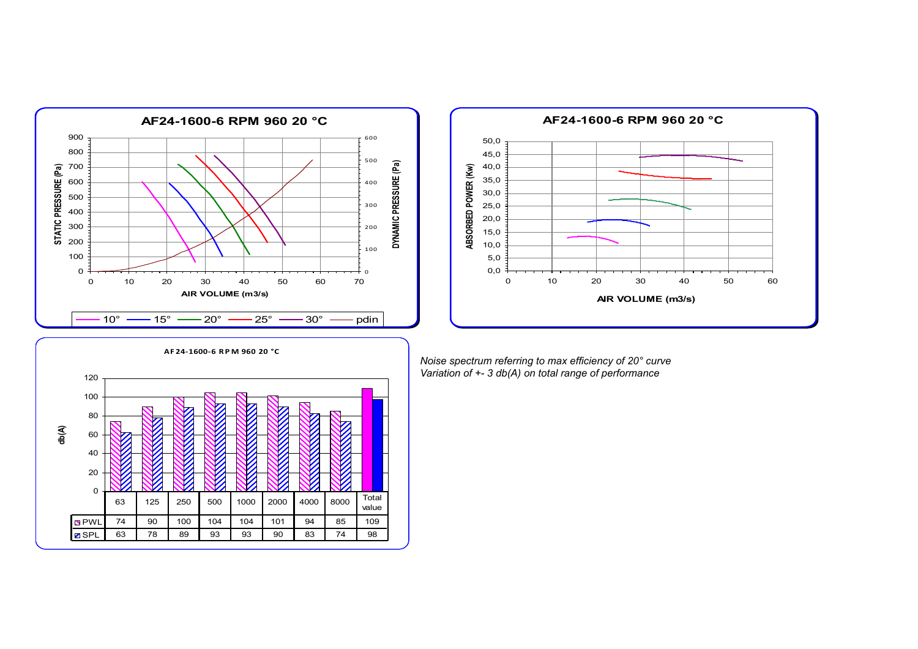



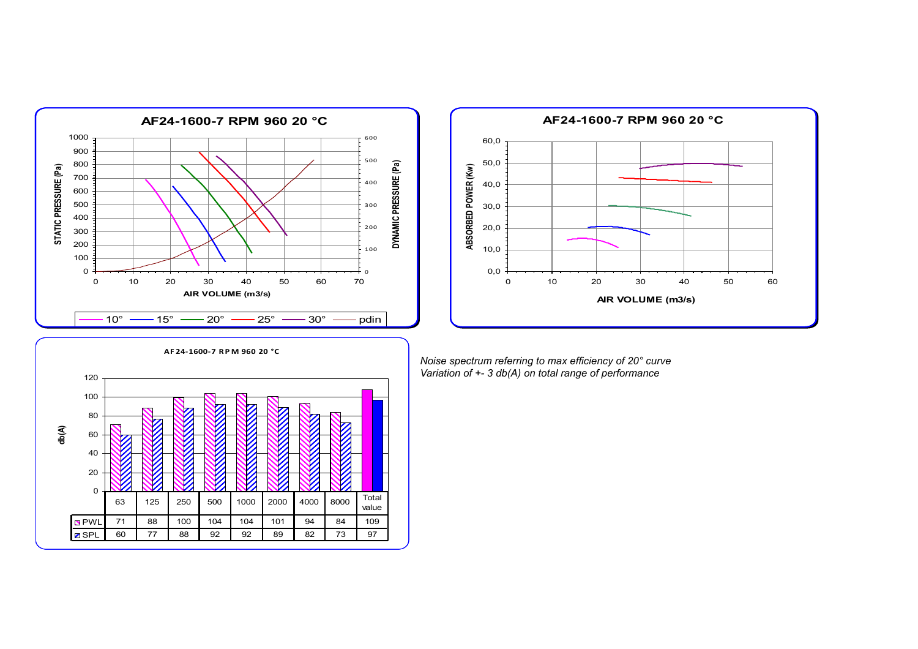



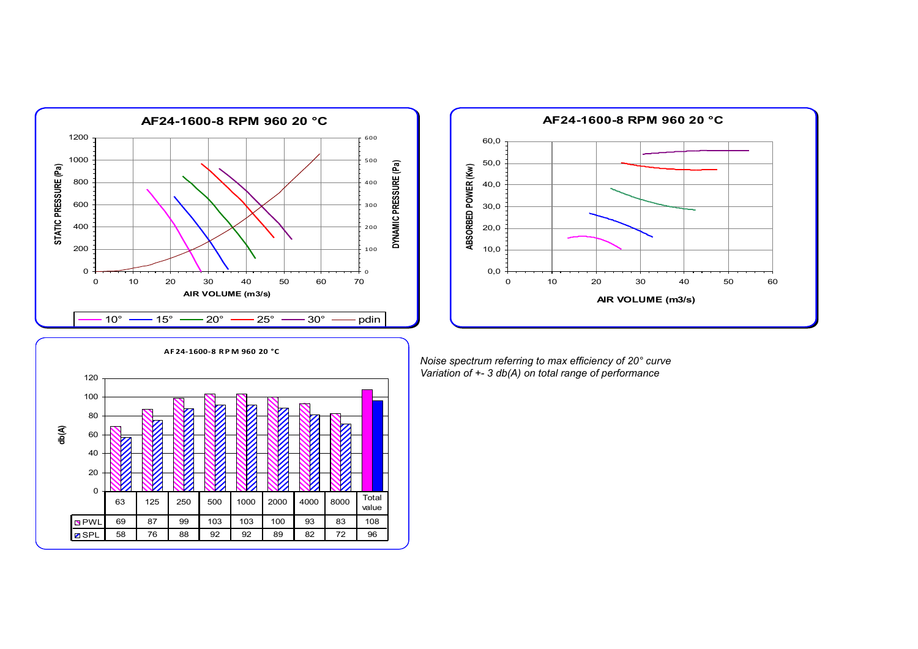



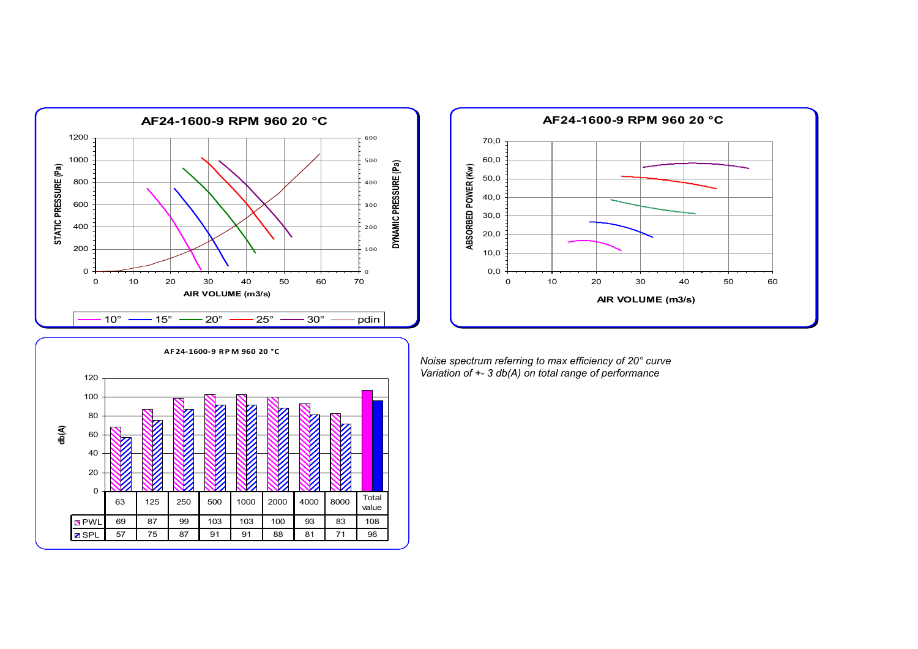



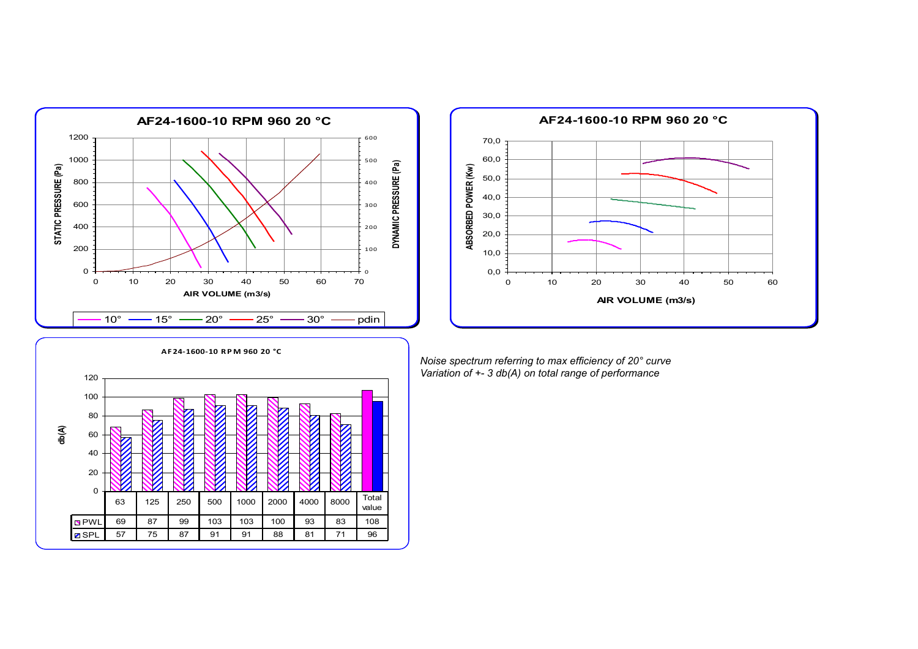